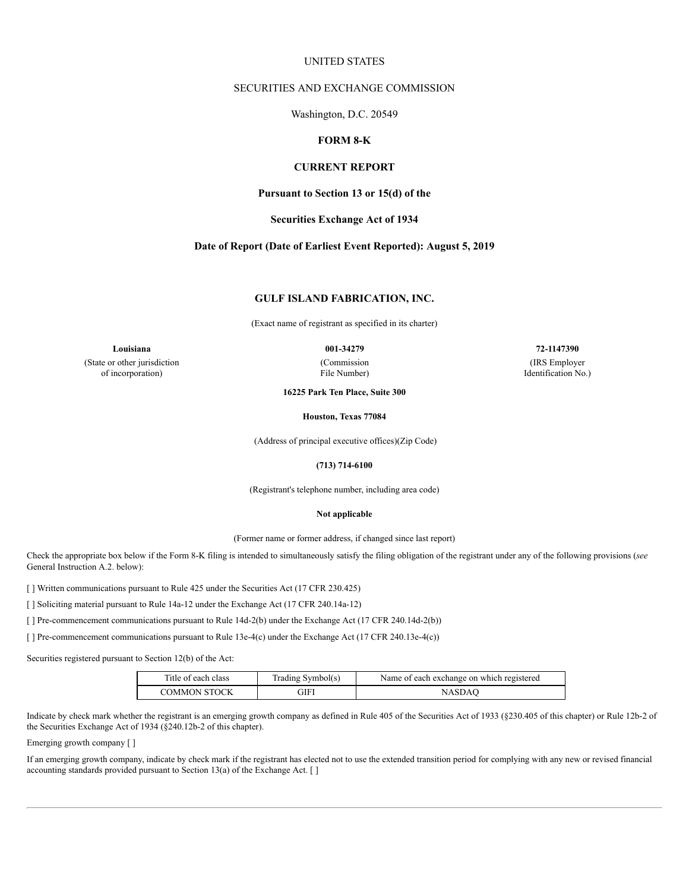## UNITED STATES

## SECURITIES AND EXCHANGE COMMISSION

Washington, D.C. 20549

# **FORM 8-K**

## **CURRENT REPORT**

**Pursuant to Section 13 or 15(d) of the**

### **Securities Exchange Act of 1934**

### **Date of Report (Date of Earliest Event Reported): August 5, 2019**

## **GULF ISLAND FABRICATION, INC.**

(Exact name of registrant as specified in its charter)

**Louisiana 001-34279 72-1147390** (State or other jurisdiction of incorporation)

(Commission

File Number)

(IRS Employer Identification No.)

**16225 Park Ten Place, Suite 300**

**Houston, Texas 77084**

(Address of principal executive offices)(Zip Code)

### **(713) 714-6100**

(Registrant's telephone number, including area code)

### **Not applicable**

(Former name or former address, if changed since last report)

Check the appropriate box below if the Form 8-K filing is intended to simultaneously satisfy the filing obligation of the registrant under any of the following provisions (*see* General Instruction A.2. below):

[ ] Written communications pursuant to Rule 425 under the Securities Act (17 CFR 230.425)

[ ] Soliciting material pursuant to Rule 14a-12 under the Exchange Act (17 CFR 240.14a-12)

[] Pre-commencement communications pursuant to Rule 14d-2(b) under the Exchange Act (17 CFR 240.14d-2(b))

[] Pre-commencement communications pursuant to Rule 13e-4(c) under the Exchange Act (17 CFR 240.13e-4(c))

Securities registered pursuant to Section 12(b) of the Act:

| Title of each class | Trading Symbol(s) | Name of each exchange on which registered |
|---------------------|-------------------|-------------------------------------------|
| <b>COMMON STOCK</b> | GIFI              | NASDAO                                    |

Indicate by check mark whether the registrant is an emerging growth company as defined in Rule 405 of the Securities Act of 1933 (§230.405 of this chapter) or Rule 12b-2 of the Securities Exchange Act of 1934 (§240.12b-2 of this chapter).

Emerging growth company [ ]

If an emerging growth company, indicate by check mark if the registrant has elected not to use the extended transition period for complying with any new or revised financial accounting standards provided pursuant to Section 13(a) of the Exchange Act. [ ]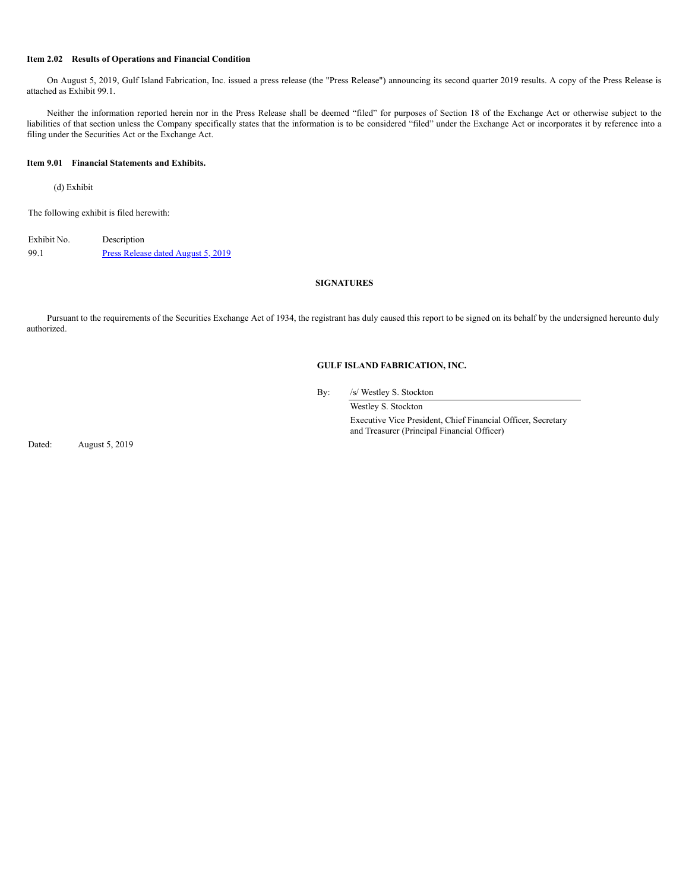### **Item 2.02 Results of Operations and Financial Condition**

On August 5, 2019, Gulf Island Fabrication, Inc. issued a press release (the "Press Release") announcing its second quarter 2019 results. A copy of the Press Release is attached as Exhibit 99.1.

Neither the information reported herein nor in the Press Release shall be deemed "filed" for purposes of Section 18 of the Exchange Act or otherwise subject to the liabilities of that section unless the Company specifically states that the information is to be considered "filed" under the Exchange Act or incorporates it by reference into a filing under the Securities Act or the Exchange Act.

### **Item 9.01 Financial Statements and Exhibits.**

(d) Exhibit

The following exhibit is filed herewith:

Exhibit No. Description 99.1 Press [Release](https://s3.amazonaws.com/content.stockpr.com/sec/0001031623-19-000046/q22019pressrelease.htm) dated August 5, 2019

# **SIGNATURES**

Pursuant to the requirements of the Securities Exchange Act of 1934, the registrant has duly caused this report to be signed on its behalf by the undersigned hereunto duly authorized.

## **GULF ISLAND FABRICATION, INC.**

By: /s/ Westley S. Stockton

Westley S. Stockton Executive Vice President, Chief Financial Officer, Secretary and Treasurer (Principal Financial Officer)

Dated: August 5, 2019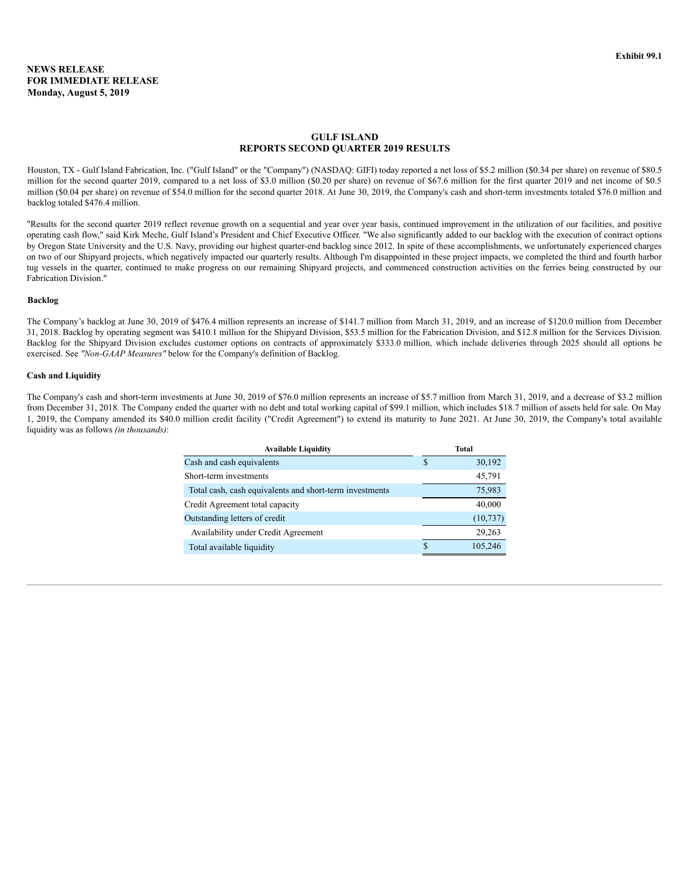## **GULF ISLAND REPORTS SECOND QUARTER 2019 RESULTS**

Houston, TX - Gulf Island Fabrication, Inc. ("Gulf Island" or the "Company") (NASDAQ: GIFI) today reported a net loss of \$5.2 million (\$0.34 per share) on revenue of \$80.5 million for the second quarter 2019, compared to a net loss of \$3.0 million (\$0.20 per share) on revenue of \$67.6 million for the first quarter 2019 and net income of \$0.5 million (\$0.04 per share) on revenue of \$54.0 million for the second quarter 2018. At June 30, 2019, the Company's cash and short-term investments totaled \$76.0 million and backlog totaled \$476.4 million.

"Results for the second quarter 2019 reflect revenue growth on a sequential and year over year basis, continued improvement in the utilization of our facilities, and positive operating cash flow," said Kirk Meche, Gulf Island's President and Chief Executive Officer. "We also significantly added to our backlog with the execution of contract options by Oregon State University and the U.S. Navy, providing our highest quarter-end backlog since 2012. In spite of these accomplishments, we unfortunately experienced charges on two of our Shipyard projects, which negatively impacted our quarterly results. Although I'm disappointed in these project impacts, we completed the third and fourth harbor tug vessels in the quarter, continued to make progress on our remaining Shipyard projects, and commenced construction activities on the ferries being constructed by our Fabrication Division."

### **Backlog**

The Company's backlog at June 30, 2019 of \$476.4 million represents an increase of \$141.7 million from March 31, 2019, and an increase of \$120.0 million from December 31, 2018. Backlog by operating segment was \$410.1 million for the Shipyard Division, \$53.5 million for the Fabrication Division, and \$12.8 million for the Services Division. Backlog for the Shipyard Division excludes customer options on contracts of approximately \$333.0 million, which include deliveries through 2025 should all options be exercised. See *"Non-GAAP Measures"* below for the Company's definition of Backlog.

### **Cash and Liquidity**

The Company's cash and short-term investments at June 30, 2019 of \$76.0 million represents an increase of \$5.7 million from March 31, 2019, and a decrease of \$3.2 million from December 31, 2018. The Company ended the quarter with no debt and total working capital of \$99.1 million, which includes \$18.7 million of assets held for sale. On May 1, 2019, the Company amended its \$40.0 million credit facility ("Credit Agreement") to extend its maturity to June 2021. At June 30, 2019, the Company's total available liquidity was as follows *(in thousands)*:

| <b>Available Liquidity</b>                              |     | Total     |
|---------------------------------------------------------|-----|-----------|
| Cash and cash equivalents                               | S   | 30,192    |
| Short-term investments                                  |     | 45,791    |
| Total cash, cash equivalents and short-term investments |     | 75,983    |
| Credit Agreement total capacity                         |     | 40,000    |
| Outstanding letters of credit                           |     | (10, 737) |
| Availability under Credit Agreement                     |     | 29,263    |
| Total available liquidity                               | \$. | 105,246   |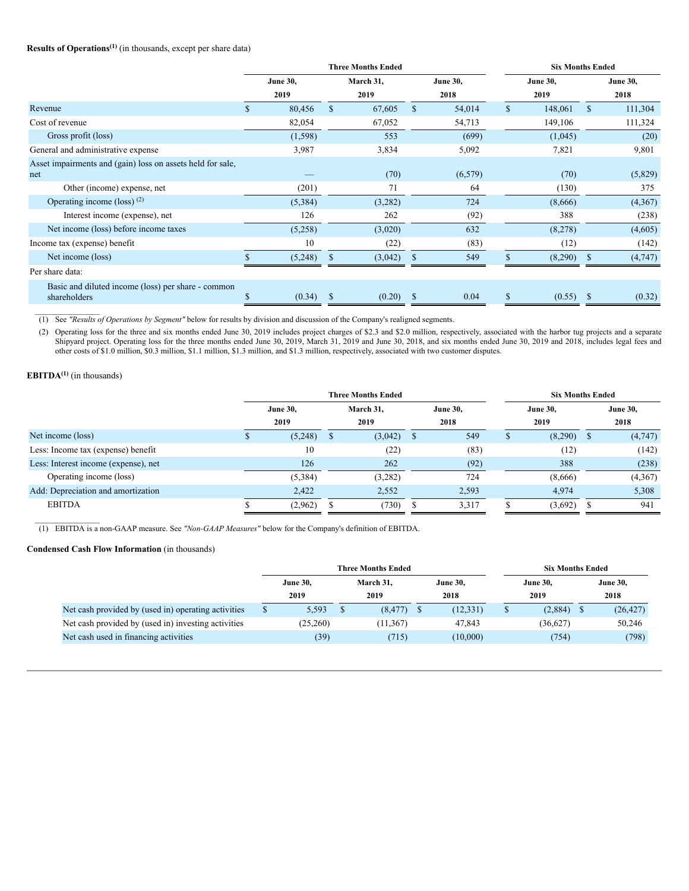### **Results of Operations (1)** (in thousands, except per share data)

|                                                                    | <b>Three Months Ended</b> |                 |               |           |               |                 | <b>Six Months Ended</b> |                 |               |                 |  |
|--------------------------------------------------------------------|---------------------------|-----------------|---------------|-----------|---------------|-----------------|-------------------------|-----------------|---------------|-----------------|--|
|                                                                    |                           | <b>June 30,</b> |               | March 31, |               | <b>June 30,</b> |                         | <b>June 30,</b> |               | <b>June 30,</b> |  |
|                                                                    |                           | 2019            |               | 2019      |               | 2018            |                         | 2019            |               | 2018            |  |
| Revenue                                                            | \$.                       | 80,456          | $\mathbb{S}$  | 67,605    | <sup>\$</sup> | 54,014          | $\mathbb{S}$            | 148,061         | $\mathbf{s}$  | 111,304         |  |
| Cost of revenue                                                    |                           | 82,054          |               | 67,052    |               | 54,713          |                         | 149,106         |               | 111,324         |  |
| Gross profit (loss)                                                |                           | (1, 598)        |               | 553       |               | (699)           |                         | (1,045)         |               | (20)            |  |
| General and administrative expense                                 |                           | 3,987           |               | 3,834     |               | 5,092           |                         | 7,821           |               | 9,801           |  |
| Asset impairments and (gain) loss on assets held for sale,         |                           |                 |               |           |               |                 |                         |                 |               |                 |  |
| net                                                                |                           |                 |               | (70)      |               | (6, 579)        |                         | (70)            |               | (5,829)         |  |
| Other (income) expense, net                                        |                           | (201)           |               | 71        |               | 64              |                         | (130)           |               | 375             |  |
| Operating income (loss) $(2)$                                      |                           | (5,384)         |               | (3,282)   |               | 724             |                         | (8,666)         |               | (4,367)         |  |
| Interest income (expense), net                                     |                           | 126             |               | 262       |               | (92)            |                         | 388             |               | (238)           |  |
| Net income (loss) before income taxes                              |                           | (5,258)         |               | (3,020)   |               | 632             |                         | (8,278)         |               | (4,605)         |  |
| Income tax (expense) benefit                                       |                           | 10              |               | (22)      |               | (83)            |                         | (12)            |               | (142)           |  |
| Net income (loss)                                                  |                           | (5,248)         | <sup>\$</sup> | (3,042)   | $\mathbf S$   | 549             | \$                      | (8,290)         | <sup>\$</sup> | (4,747)         |  |
| Per share data:                                                    |                           |                 |               |           |               |                 |                         |                 |               |                 |  |
| Basic and diluted income (loss) per share - common<br>shareholders | \$                        | (0.34)          | <sup>\$</sup> | (0.20)    | \$            | 0.04            | \$                      | (0.55)          | <sup>3</sup>  | (0.32)          |  |

 $\mathcal{L}_\text{max}$ (1) See *"Results of Operations by Segment"* below for results by division and discussion of the Company's realigned segments.

(2) Operating loss for the three and six months ended June 30, 2019 includes project charges of \$2.3 and \$2.0 million, respectively, associated with the harbor tug projects and a separate Shipyard project. Operating loss for the three months ended June 30, 2019, March 31, 2019 and June 30, 2018, and six months ended June 30, 2019 and 2018, includes legal fees and other costs of \$1.0 million, \$0.3 million, \$1.1 million, \$1.3 million, and \$1.3 million, respectively, associated with two customer disputes.

# **EBITDA(1)** (in thousands)

|                                      |                 |     | <b>Three Months Ended</b> |     |                 | <b>Six Months Ended</b> |   |                 |
|--------------------------------------|-----------------|-----|---------------------------|-----|-----------------|-------------------------|---|-----------------|
|                                      | <b>June 30,</b> |     | March 31,                 |     | <b>June 30,</b> | <b>June 30,</b>         |   | <b>June 30,</b> |
|                                      | 2019            |     | 2019                      |     | 2018            | 2019                    |   | 2018            |
| Net income (loss)                    | (5,248)         | - S | (3,042)                   | S   | 549             | (8,290)                 | S | (4,747)         |
| Less: Income tax (expense) benefit   | 10              |     | (22)                      |     | (83)            | (12)                    |   | (142)           |
| Less: Interest income (expense), net | 126             |     | 262                       |     | (92)            | 388                     |   | (238)           |
| Operating income (loss)              | (5,384)         |     | (3,282)                   |     | 724             | (8,666)                 |   | (4,367)         |
| Add: Depreciation and amortization   | 2,422           |     | 2,552                     |     | 2,593           | 4,974                   |   | 5,308           |
| <b>EBITDA</b>                        | (2,962)         |     | (730)                     | - D | 3,317           | (3,692)                 |   | 941             |

 $\mathcal{L}_\text{max}$ (1) EBITDA is a non-GAAP measure. See *"Non-GAAP Measures"* below for the Company's definition of EBITDA.

### **Condensed Cash Flow Information** (in thousands)

|                                                     |                 | <b>Three Months Ended</b> |           | <b>Six Months Ended</b> |  |                 |  |                 |
|-----------------------------------------------------|-----------------|---------------------------|-----------|-------------------------|--|-----------------|--|-----------------|
|                                                     | <b>June 30,</b> |                           | March 31. | <b>June 30,</b>         |  | <b>June 30,</b> |  | <b>June 30,</b> |
|                                                     | 2019            |                           | 2019      | 2018                    |  | 2019            |  | 2018            |
| Net cash provided by (used in) operating activities | 5,593           |                           | (8, 477)  | (12, 331)               |  | (2,884)         |  | (26, 427)       |
| Net cash provided by (used in) investing activities | (25,260)        |                           | (11, 367) | 47,843                  |  | (36,627)        |  | 50,246          |
| Net cash used in financing activities               | (39)            |                           | (715)     | (10,000)                |  | (754)           |  | (798)           |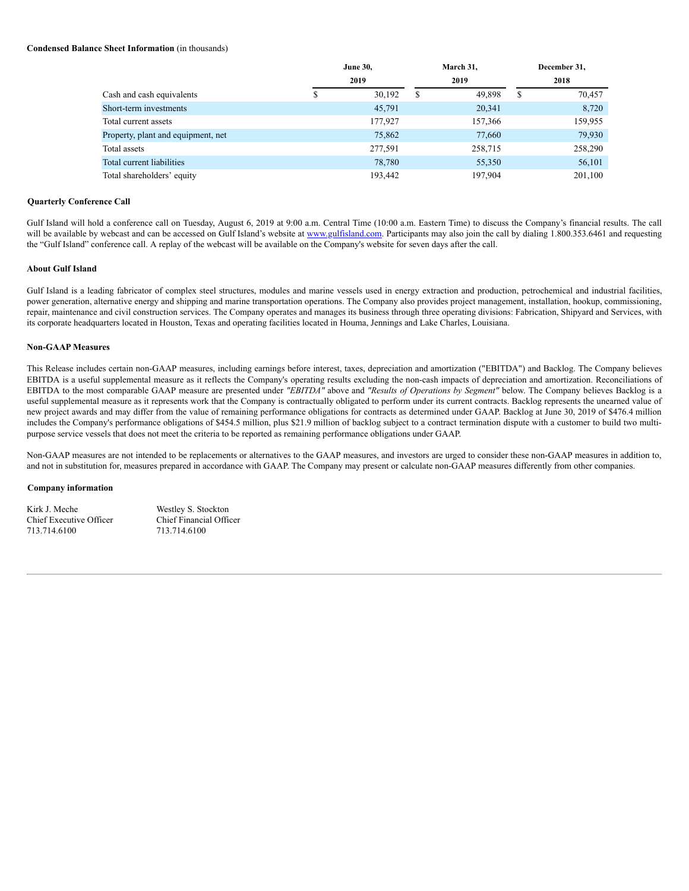## **Condensed Balance Sheet Information** (in thousands)

|                                    | <b>June 30,</b> |   | March 31, | December 31, |
|------------------------------------|-----------------|---|-----------|--------------|
|                                    | 2019            |   | 2019      | 2018         |
| Cash and cash equivalents          | 30,192          | S | 49,898    | \$<br>70,457 |
| Short-term investments             | 45,791          |   | 20,341    | 8,720        |
| Total current assets               | 177,927         |   | 157,366   | 159,955      |
| Property, plant and equipment, net | 75,862          |   | 77,660    | 79,930       |
| Total assets                       | 277,591         |   | 258,715   | 258,290      |
| Total current liabilities          | 78,780          |   | 55,350    | 56,101       |
| Total shareholders' equity         | 193,442         |   | 197.904   | 201,100      |

#### **Quarterly Conference Call**

Gulf Island will hold a conference call on Tuesday, August 6, 2019 at 9:00 a.m. Central Time (10:00 a.m. Eastern Time) to discuss the Company's financial results. The call will be available by webcast and can be accessed on Gulf Island's website at www.gulfisland.com. Participants may also join the call by dialing 1.800.353.6461 and requesting the "Gulf Island" conference call. A replay of the webcast will be available on the Company's website for seven days after the call.

## **About Gulf Island**

Gulf Island is a leading fabricator of complex steel structures, modules and marine vessels used in energy extraction and production, petrochemical and industrial facilities, power generation, alternative energy and shipping and marine transportation operations. The Company also provides project management, installation, hookup, commissioning, repair, maintenance and civil construction services. The Company operates and manages its business through three operating divisions: Fabrication, Shipyard and Services, with its corporate headquarters located in Houston, Texas and operating facilities located in Houma, Jennings and Lake Charles, Louisiana.

#### **Non-GAAP Measures**

This Release includes certain non-GAAP measures, including earnings before interest, taxes, depreciation and amortization ("EBITDA") and Backlog. The Company believes EBITDA is a useful supplemental measure as it reflects the Company's operating results excluding the non-cash impacts of depreciation and amortization. Reconciliations of EBITDA to the most comparable GAAP measure are presented under *"EBITDA"* above and *"Results of Operations by Segment"* below. The Company believes Backlog is a useful supplemental measure as it represents work that the Company is contractually obligated to perform under its current contracts. Backlog represents the unearned value of new project awards and may differ from the value of remaining performance obligations for contracts as determined under GAAP. Backlog at June 30, 2019 of \$476.4 million includes the Company's performance obligations of \$454.5 million, plus \$21.9 million of backlog subject to a contract termination dispute with a customer to build two multipurpose service vessels that does not meet the criteria to be reported as remaining performance obligations under GAAP.

Non-GAAP measures are not intended to be replacements or alternatives to the GAAP measures, and investors are urged to consider these non-GAAP measures in addition to, and not in substitution for, measures prepared in accordance with GAAP. The Company may present or calculate non-GAAP measures differently from other companies.

#### **Company information**

Kirk J. Meche<br>
Chief Executive Officer<br>
Chief Financial Officer<br>
Chief Financial Officer Chief Executive Officer 713.714.6100 713.714.6100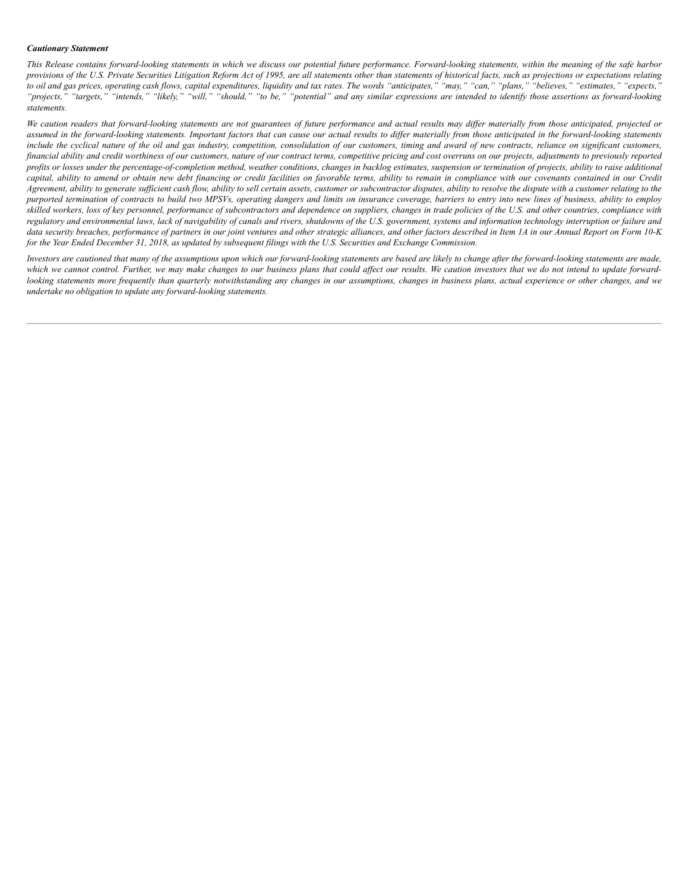### *Cautionary Statement*

This Release contains forward-looking statements in which we discuss our potential future performance. Forward-looking statements, within the meaning of the safe harbor provisions of the U.S. Private Securities Litigation Reform Act of 1995, are all statements other than statements of historical facts, such as projections or expectations relating to oil and gas prices, operating cash flows, capital expenditures, liquidity and tax rates. The words "anticipates," "may," "can," "plans," "believes," "estimates," "expects," "projects," "targets," "intends," "likely," "will," "should," "to be," "potential" and any similar expressions are intended to identify those assertions as forward-looking *statements.*

We caution readers that forward-looking statements are not guarantees of future performance and actual results may differ materially from those anticipated, projected or assumed in the forward-looking statements. Important factors that can cause our actual results to differ materially from those anticipated in the forward-looking statements include the cyclical nature of the oil and gas industry, competition, consolidation of our customers, timing and award of new contracts, reliance on significant customers, financial ability and credit worthiness of our customers, nature of our contract terms, competitive pricing and cost overruns on our projects, adjustments to previously reported profits or losses under the percentage-of-completion method, weather conditions, changes in backlog estimates, suspension or termination of projects, ability to raise additional capital, ability to amend or obtain new debt financing or credit facilities on favorable terms, ability to remain in compliance with our covenants contained in our Credit Agreement, ability to generate sufficient cash flow, ability to sell certain assets, customer or subcontractor disputes, ability to resolve the dispute with a customer relating to the purported termination of contracts to build two MPSVs, operating dangers and limits on insurance coverage, barriers to entry into new lines of business, ability to employ skilled workers, loss of key personnel, performance of subcontractors and dependence on suppliers, changes in trade policies of the U.S. and other countries, compliance with regulatory and environmental laws, lack of navigability of canals and rivers, shutdowns of the U.S. government, systems and information technology interruption or failure and data security breaches, performance of partners in our joint ventures and other strategic alliances, and other factors described in Item 1A in our Annual Report on Form 10-K for the Year Ended December 31, 2018, as updated by subsequent filings with the U.S. Securities and Exchange Commission.

Investors are cautioned that many of the assumptions upon which our forward-looking statements are based are likely to change after the forward-looking statements are made, which we cannot control. Further, we may make changes to our business plans that could affect our results. We caution investors that we do not intend to update forwardlooking statements more frequently than quarterly notwithstanding any changes in our assumptions, changes in business plans, actual experience or other changes, and we *undertake no obligation to update any forward-looking statements.*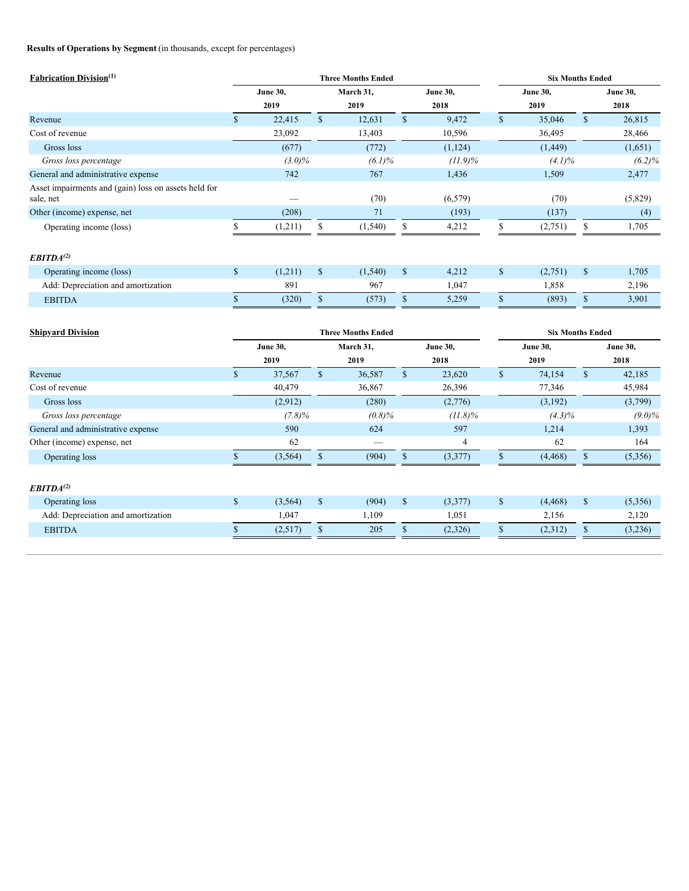# **Results of Operations by Segment** (in thousands, except for percentages)

| <b>Fabrication Division</b> <sup>(1)</sup>                        |              |                         |              | <b>Three Months Ended</b> |                         |            | <b>Six Months Ended</b> |                         |              |                         |  |
|-------------------------------------------------------------------|--------------|-------------------------|--------------|---------------------------|-------------------------|------------|-------------------------|-------------------------|--------------|-------------------------|--|
|                                                                   |              | <b>June 30,</b><br>2019 |              | March 31,<br>2019         | <b>June 30,</b><br>2018 |            |                         | <b>June 30,</b><br>2019 |              | <b>June 30,</b><br>2018 |  |
| Revenue                                                           | $\mathbf S$  | 22,415                  | $\mathbb{S}$ | 12,631                    | $\mathsf{\$}$           | 9,472      | $\mathbb{S}$            | 35,046                  | $\mathbb{S}$ | 26,815                  |  |
| Cost of revenue                                                   |              | 23,092                  |              | 13,403                    |                         | 10,596     |                         | 36,495                  |              | 28,466                  |  |
| Gross loss                                                        |              | (677)                   |              | (772)                     |                         | (1, 124)   |                         | (1, 449)                |              | (1,651)                 |  |
| Gross loss percentage                                             |              | $(3.0)\%$               |              | $(6.1)\%$                 |                         | $(11.9)\%$ |                         | $(4.1)\%$               |              | $(6.2)\%$               |  |
| General and administrative expense                                |              | 742                     |              | 767                       |                         | 1,436      |                         | 1,509                   |              | 2,477                   |  |
| Asset impairments and (gain) loss on assets held for<br>sale, net |              |                         |              | (70)                      |                         | (6, 579)   |                         | (70)                    |              | (5,829)                 |  |
| Other (income) expense, net                                       |              | (208)                   |              | 71                        |                         | (193)      |                         | (137)                   |              | (4)                     |  |
| Operating income (loss)                                           |              | (1,211)                 | S            | (1, 540)                  | \$                      | 4,212      |                         | (2,751)                 | \$           | 1,705                   |  |
| EBITDA <sup>(2)</sup>                                             |              |                         |              |                           |                         |            |                         |                         |              |                         |  |
| Operating income (loss)                                           | $\mathbb{S}$ | (1,211)                 | $\mathbb{S}$ | (1, 540)                  | $\mathbb{S}$            | 4,212      | $\mathbb{S}$            | (2,751)                 | $\mathbf{s}$ | 1,705                   |  |
| Add: Depreciation and amortization                                |              | 891                     |              | 967                       |                         | 1,047      |                         | 1,858                   |              | 2,196                   |  |
| <b>EBITDA</b>                                                     |              | (320)                   | $\mathbf S$  | (573)                     | $\mathbb{S}$            | 5,259      | $\mathcal{S}$           | (893)                   | $\mathbf S$  | 3,901                   |  |
|                                                                   |              |                         |              |                           |                         |            |                         |                         |              |                         |  |

| <b>Shipvard Division</b>           |                 |           |               | <b>Three Months Ended</b> | <b>Six Months Ended</b> |            |                 |           |              |                 |
|------------------------------------|-----------------|-----------|---------------|---------------------------|-------------------------|------------|-----------------|-----------|--------------|-----------------|
|                                    | <b>June 30,</b> |           |               | March 31,                 | <b>June 30,</b>         |            | <b>June 30,</b> |           |              | <b>June 30,</b> |
|                                    |                 | 2019      |               | 2019                      |                         | 2018       |                 | 2019      |              | 2018            |
| Revenue                            | \$              | 37,567    | \$            | 36,587                    | $\mathbb{S}$            | 23,620     | \$              | 74,154    | \$           | 42,185          |
| Cost of revenue                    |                 | 40,479    |               | 36,867                    |                         | 26,396     |                 | 77,346    |              | 45,984          |
| Gross loss                         |                 | (2,912)   |               | (280)                     |                         | (2,776)    |                 | (3,192)   |              | (3,799)         |
| Gross loss percentage              |                 | $(7.8)\%$ |               | (0.8)%                    |                         | $(11.8)\%$ |                 | $(4.3)\%$ |              | $(9.0)\%$       |
| General and administrative expense |                 | 590       |               | 624                       |                         | 597        |                 | 1,214     |              | 1,393           |
| Other (income) expense, net        |                 | 62        |               |                           |                         | 4          |                 | 62        |              | 164             |
| Operating loss                     |                 | (3, 564)  | <sup>\$</sup> | (904)                     | <sup>\$</sup>           | (3,377)    |                 | (4, 468)  | \$           | (5,356)         |
|                                    |                 |           |               |                           |                         |            |                 |           |              |                 |
| EBITDA <sup>(2)</sup>              |                 |           |               |                           |                         |            |                 |           |              |                 |
| Operating loss                     | \$              | (3,564)   | $\mathbb{S}$  | (904)                     | $\mathbb{S}$            | (3,377)    | \$              | (4, 468)  | $\mathbb{S}$ | (5,356)         |
| Add: Depreciation and amortization |                 | 1,047     |               | 1,109                     |                         | 1,051      |                 | 2,156     |              | 2,120           |
| <b>EBITDA</b>                      | \$              | (2,517)   | \$            | 205                       | ъ                       | (2,326)    | \$              | (2,312)   | \$           | (3,236)         |